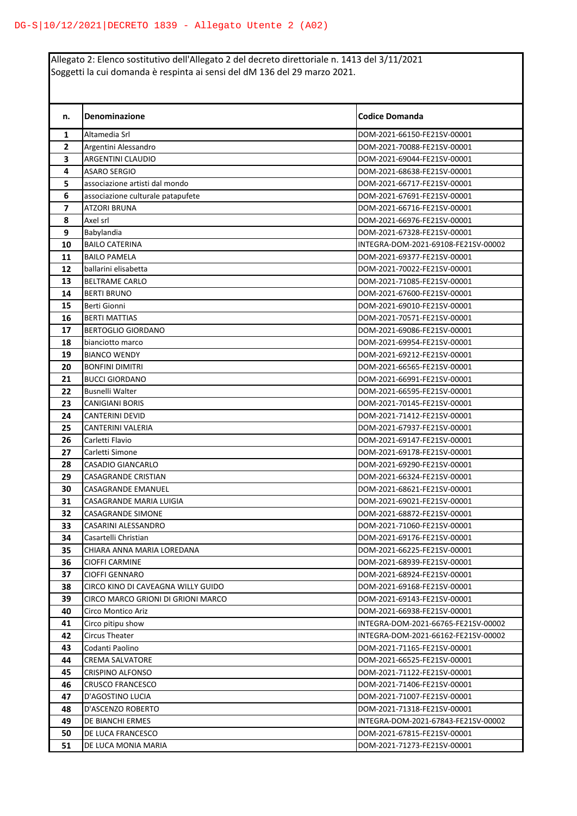Allegato 2: Elenco sostitutivo dell'Allegato 2 del decreto direttoriale n. 1413 del 3/11/2021 Soggetti la cui domanda è respinta ai sensi del dM 136 del 29 marzo 2021.

| n.                       | Denominazione                      | <b>Codice Domanda</b>               |
|--------------------------|------------------------------------|-------------------------------------|
| 1                        | Altamedia Srl                      | DOM-2021-66150-FE21SV-00001         |
| $\overline{2}$           | Argentini Alessandro               | DOM-2021-70088-FE21SV-00001         |
| 3                        | ARGENTINI CLAUDIO                  | DOM-2021-69044-FE21SV-00001         |
| 4                        | <b>ASARO SERGIO</b>                | DOM-2021-68638-FE21SV-00001         |
| 5                        | associazione artisti dal mondo     | DOM-2021-66717-FE21SV-00001         |
| 6                        | associazione culturale patapufete  | DOM-2021-67691-FE21SV-00001         |
| $\overline{\phantom{a}}$ | <b>ATZORI BRUNA</b>                | DOM-2021-66716-FE21SV-00001         |
| 8                        | Axel srl                           | DOM-2021-66976-FE21SV-00001         |
| 9                        | Babylandia                         | DOM-2021-67328-FE21SV-00001         |
| 10                       | <b>BAILO CATERINA</b>              | INTEGRA-DOM-2021-69108-FE21SV-00002 |
| 11                       | <b>BAILO PAMELA</b>                | DOM-2021-69377-FE21SV-00001         |
| 12                       | ballarini elisabetta               | DOM-2021-70022-FE21SV-00001         |
| 13                       | <b>BELTRAME CARLO</b>              | DOM-2021-71085-FE21SV-00001         |
| 14                       | <b>BERTI BRUNO</b>                 | DOM-2021-67600-FE21SV-00001         |
| 15                       | <b>Berti Gionni</b>                | DOM-2021-69010-FE21SV-00001         |
| 16                       | <b>BERTI MATTIAS</b>               | DOM-2021-70571-FE21SV-00001         |
| 17                       | <b>BERTOGLIO GIORDANO</b>          | DOM-2021-69086-FE21SV-00001         |
| 18                       | bianciotto marco                   | DOM-2021-69954-FE21SV-00001         |
| 19                       | <b>BIANCO WENDY</b>                | DOM-2021-69212-FE21SV-00001         |
| 20                       | <b>BONFINI DIMITRI</b>             | DOM-2021-66565-FE21SV-00001         |
| 21                       | <b>BUCCI GIORDANO</b>              | DOM-2021-66991-FE21SV-00001         |
| 22                       | <b>Busnelli Walter</b>             | DOM-2021-66595-FE21SV-00001         |
| 23                       | <b>CANIGIANI BORIS</b>             | DOM-2021-70145-FE21SV-00001         |
| 24                       | <b>CANTERINI DEVID</b>             | DOM-2021-71412-FE21SV-00001         |
| 25                       | CANTERINI VALERIA                  | DOM-2021-67937-FE21SV-00001         |
| 26                       | Carletti Flavio                    | DOM-2021-69147-FE21SV-00001         |
| 27                       | Carletti Simone                    | DOM-2021-69178-FE21SV-00001         |
| 28                       | CASADIO GIANCARLO                  | DOM-2021-69290-FE21SV-00001         |
| 29                       | <b>CASAGRANDE CRISTIAN</b>         | DOM-2021-66324-FE21SV-00001         |
| 30                       | CASAGRANDE EMANUEL                 | DOM-2021-68621-FE21SV-00001         |
| 31                       | CASAGRANDE MARIA LUIGIA            | DOM-2021-69021-FE21SV-00001         |
| 32                       | CASAGRANDE SIMONE                  | DOM-2021-68872-FE21SV-00001         |
| 33                       | CASARINI ALESSANDRO                | DOM-2021-71060-FE21SV-00001         |
| 34                       | Casartelli Christian               | DOM-2021-69176-FE21SV-00001         |
| 35                       | CHIARA ANNA MARIA LOREDANA         | DOM-2021-66225-FE21SV-00001         |
| 36                       | <b>CIOFFI CARMINE</b>              | DOM-2021-68939-FE21SV-00001         |
| 37                       | <b>CIOFFI GENNARO</b>              | DOM-2021-68924-FE21SV-00001         |
| 38                       | CIRCO KINO DI CAVEAGNA WILLY GUIDO | DOM-2021-69168-FE21SV-00001         |
| 39                       | CIRCO MARCO GRIONI DI GRIONI MARCO | DOM-2021-69143-FE21SV-00001         |
| 40                       | Circo Montico Ariz                 | DOM-2021-66938-FE21SV-00001         |
| 41                       | Circo pitipu show                  | INTEGRA-DOM-2021-66765-FE21SV-00002 |
| 42                       | Circus Theater                     | INTEGRA-DOM-2021-66162-FE21SV-00002 |
| 43                       | Codanti Paolino                    | DOM-2021-71165-FE21SV-00001         |
| 44                       | <b>CREMA SALVATORE</b>             | DOM-2021-66525-FE21SV-00001         |
| 45                       | CRISPINO ALFONSO                   | DOM-2021-71122-FE21SV-00001         |
| 46                       | <b>CRUSCO FRANCESCO</b>            | DOM-2021-71406-FE21SV-00001         |
| 47                       | D'AGOSTINO LUCIA                   | DOM-2021-71007-FE21SV-00001         |
| 48                       | D'ASCENZO ROBERTO                  | DOM-2021-71318-FE21SV-00001         |
| 49                       | DE BIANCHI ERMES                   | INTEGRA-DOM-2021-67843-FE21SV-00002 |
| 50                       | DE LUCA FRANCESCO                  | DOM-2021-67815-FE21SV-00001         |
| 51                       | DE LUCA MONIA MARIA                | DOM-2021-71273-FE21SV-00001         |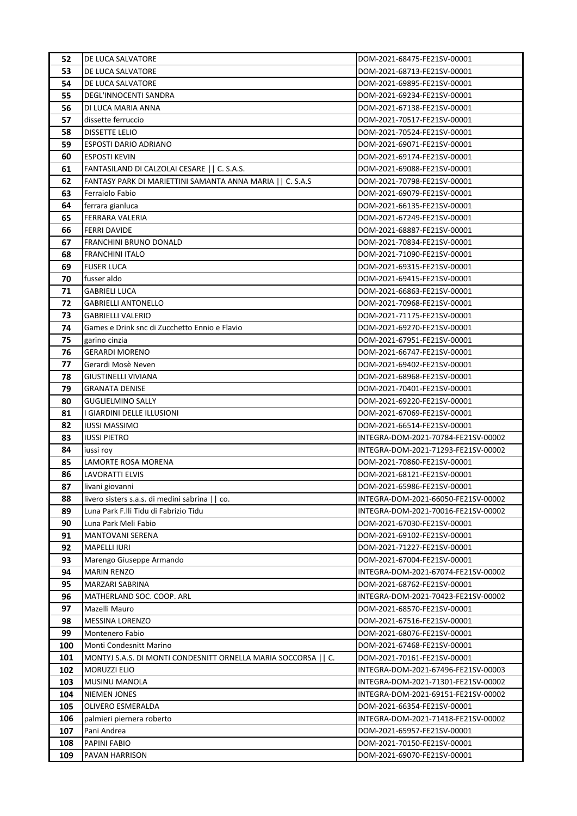| 52  | DE LUCA SALVATORE                                             | DOM-2021-68475-FE21SV-00001         |
|-----|---------------------------------------------------------------|-------------------------------------|
| 53  | DE LUCA SALVATORE                                             | DOM-2021-68713-FE21SV-00001         |
| 54  | DE LUCA SALVATORE                                             | DOM-2021-69895-FE21SV-00001         |
| 55  | DEGL'INNOCENTI SANDRA                                         | DOM-2021-69234-FE21SV-00001         |
| 56  | DI LUCA MARIA ANNA                                            | DOM-2021-67138-FE21SV-00001         |
| 57  | dissette ferruccio                                            | DOM-2021-70517-FE21SV-00001         |
| 58  | <b>DISSETTE LELIO</b>                                         | DOM-2021-70524-FE21SV-00001         |
| 59  | <b>ESPOSTI DARIO ADRIANO</b>                                  | DOM-2021-69071-FE21SV-00001         |
| 60  | <b>ESPOSTI KEVIN</b>                                          | DOM-2021-69174-FE21SV-00001         |
| 61  | FANTASILAND DI CALZOLAI CESARE     C. S.A.S.                  | DOM-2021-69088-FE21SV-00001         |
| 62  | FANTASY PARK DI MARIETTINI SAMANTA ANNA MARIA     C. S.A.S    | DOM-2021-70798-FE21SV-00001         |
| 63  | Ferraiolo Fabio                                               | DOM-2021-69079-FE21SV-00001         |
| 64  | ferrara gianluca                                              | DOM-2021-66135-FE21SV-00001         |
| 65  | FERRARA VALERIA                                               | DOM-2021-67249-FE21SV-00001         |
| 66  | <b>FERRI DAVIDE</b>                                           | DOM-2021-68887-FE21SV-00001         |
| 67  | <b>FRANCHINI BRUNO DONALD</b>                                 | DOM-2021-70834-FE21SV-00001         |
| 68  | <b>FRANCHINI ITALO</b>                                        | DOM-2021-71090-FE21SV-00001         |
| 69  | <b>FUSER LUCA</b>                                             | DOM-2021-69315-FE21SV-00001         |
| 70  | fusser aldo                                                   | DOM-2021-69415-FE21SV-00001         |
| 71  | <b>GABRIELI LUCA</b>                                          | DOM-2021-66863-FE21SV-00001         |
| 72  | <b>GABRIELLI ANTONELLO</b>                                    | DOM-2021-70968-FE21SV-00001         |
| 73  | <b>GABRIELLI VALERIO</b>                                      | DOM-2021-71175-FE21SV-00001         |
| 74  | Games e Drink snc di Zucchetto Ennio e Flavio                 | DOM-2021-69270-FE21SV-00001         |
| 75  | garino cinzia                                                 | DOM-2021-67951-FE21SV-00001         |
| 76  | <b>GERARDI MORENO</b>                                         | DOM-2021-66747-FE21SV-00001         |
| 77  | Gerardi Mosè Neven                                            | DOM-2021-69402-FE21SV-00001         |
| 78  | <b>GIUSTINELLI VIVIANA</b>                                    | DOM-2021-68968-FE21SV-00001         |
| 79  | <b>GRANATA DENISE</b>                                         | DOM-2021-70401-FE21SV-00001         |
| 80  | <b>GUGLIELMINO SALLY</b>                                      | DOM-2021-69220-FE21SV-00001         |
| 81  | I GIARDINI DELLE ILLUSIONI                                    | DOM-2021-67069-FE21SV-00001         |
| 82  | <b>IUSSI MASSIMO</b>                                          | DOM-2021-66514-FE21SV-00001         |
| 83  | <b>IUSSI PIETRO</b>                                           | INTEGRA-DOM-2021-70784-FE21SV-00002 |
| 84  | iussi roy                                                     | INTEGRA-DOM-2021-71293-FE21SV-00002 |
| 85  | LAMORTE ROSA MORENA                                           | DOM-2021-70860-FE21SV-00001         |
| 86  | <b>LAVORATTI ELVIS</b>                                        | DOM-2021-68121-FE21SV-00001         |
| 87  | livani giovanni                                               | DOM-2021-65986-FE21SV-00001         |
| 88  | livero sisters s.a.s. di medini sabrina    co.                | INTEGRA-DOM-2021-66050-FE21SV-00002 |
| 89  | Luna Park F.Ili Tidu di Fabrizio Tidu                         | INTEGRA-DOM-2021-70016-FE21SV-00002 |
| 90  | Luna Park Meli Fabio                                          | DOM-2021-67030-FE21SV-00001         |
| 91  | <b>MANTOVANI SERENA</b>                                       | DOM-2021-69102-FE21SV-00001         |
| 92  | <b>MAPELLI IURI</b>                                           | DOM-2021-71227-FE21SV-00001         |
| 93  | Marengo Giuseppe Armando                                      | DOM-2021-67004-FE21SV-00001         |
| 94  | <b>MARIN RENZO</b>                                            | INTEGRA-DOM-2021-67074-FE21SV-00002 |
| 95  | MARZARI SABRINA                                               | DOM-2021-68762-FE21SV-00001         |
| 96  | MATHERLAND SOC. COOP. ARL                                     | INTEGRA-DOM-2021-70423-FE21SV-00002 |
| 97  | Mazelli Mauro                                                 | DOM-2021-68570-FE21SV-00001         |
| 98  | <b>MESSINA LORENZO</b>                                        | DOM-2021-67516-FE21SV-00001         |
| 99  | Montenero Fabio                                               | DOM-2021-68076-FE21SV-00001         |
| 100 | Monti Condesnitt Marino                                       | DOM-2021-67468-FE21SV-00001         |
| 101 | MONTYJ S.A.S. DI MONTI CONDESNITT ORNELLA MARIA SOCCORSA   C. | DOM-2021-70161-FE21SV-00001         |
| 102 | <b>MORUZZI ELIO</b>                                           | INTEGRA-DOM-2021-67496-FE21SV-00003 |
| 103 | MUSINU MANOLA                                                 | INTEGRA-DOM-2021-71301-FE21SV-00002 |
| 104 | NIEMEN JONES                                                  | INTEGRA-DOM-2021-69151-FE21SV-00002 |
| 105 | OLIVERO ESMERALDA                                             | DOM-2021-66354-FE21SV-00001         |
| 106 | palmieri piernera roberto                                     | INTEGRA-DOM-2021-71418-FE21SV-00002 |
| 107 | Pani Andrea                                                   | DOM-2021-65957-FE21SV-00001         |
| 108 | PAPINI FABIO                                                  | DOM-2021-70150-FE21SV-00001         |
| 109 | PAVAN HARRISON                                                | DOM-2021-69070-FE21SV-00001         |
|     |                                                               |                                     |